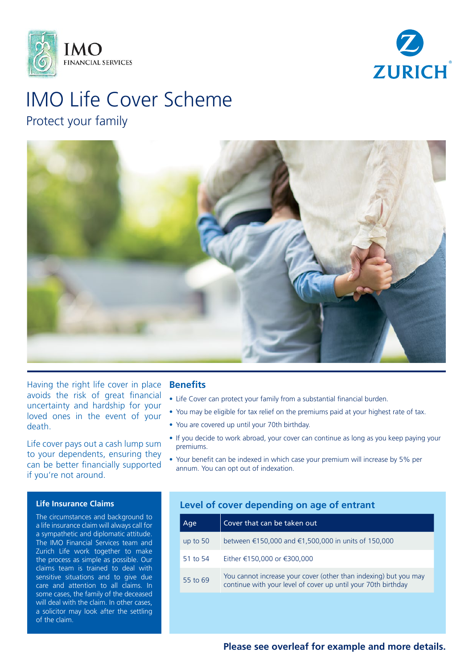



# IMO Life Cover Scheme Protect your family



Having the right life cover in place avoids the risk of great financial uncertainty and hardship for your loved ones in the event of your death.

Life cover pays out a cash lump sum to your dependents, ensuring they can be better financially supported if you're not around.

## **Life Insurance Claims**

The circumstances and background to a life insurance claim will always call for a sympathetic and diplomatic attitude. The IMO Financial Services team and Zurich Life work together to make the process as simple as possible. Our claims team is trained to deal with sensitive situations and to give due care and attention to all claims. In some cases, the family of the deceased will deal with the claim. In other cases, a solicitor may look after the settling of the claim.

## **Benefits**

- Life Cover can protect your family from a substantial financial burden.
- You may be eligible for tax relief on the premiums paid at your highest rate of tax.
- You are covered up until your 70th birthday.
- If you decide to work abroad, your cover can continue as long as you keep paying your premiums.
- Your benefit can be indexed in which case your premium will increase by 5% per annum. You can opt out of indexation.

# **Level of cover depending on age of entrant**

| Age        | Cover that can be taken out                                                                                                       |
|------------|-----------------------------------------------------------------------------------------------------------------------------------|
| up to $50$ | between €150,000 and €1,500,000 in units of 150,000                                                                               |
| 51 to 54   | Either €150,000 or €300,000                                                                                                       |
| 55 to 69   | You cannot increase your cover (other than indexing) but you may<br>continue with your level of cover up until your 70th birthday |

**Please see overleaf for example and more details.**